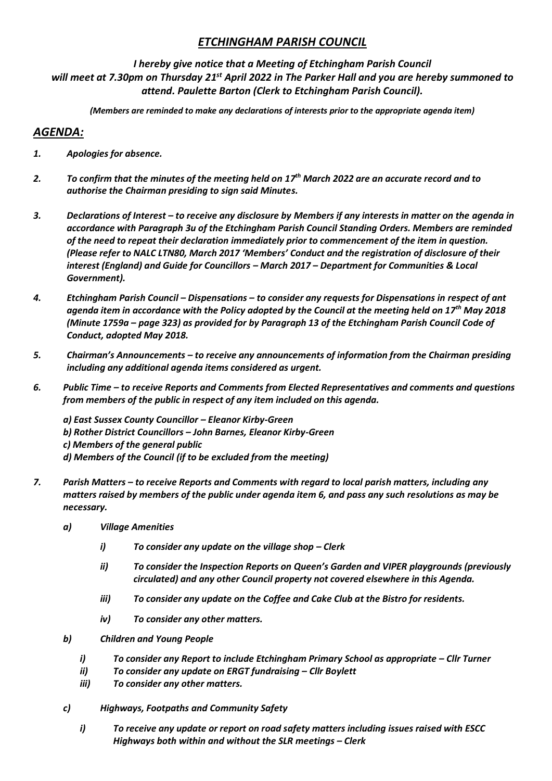# *ETCHINGHAM PARISH COUNCIL*

## *I hereby give notice that a Meeting of Etchingham Parish Council will meet at 7.30pm on Thursday 21st April 2022 in The Parker Hall and you are hereby summoned to attend. Paulette Barton (Clerk to Etchingham Parish Council).*

*(Members are reminded to make any declarations of interests prior to the appropriate agenda item)*

# *AGENDA:*

- *1. Apologies for absence.*
- *2. To confirm that the minutes of the meeting held on 17th March 2022 are an accurate record and to authorise the Chairman presiding to sign said Minutes.*
- *3. Declarations of Interest – to receive any disclosure by Members if any interests in matter on the agenda in accordance with Paragraph 3u of the Etchingham Parish Council Standing Orders. Members are reminded of the need to repeat their declaration immediately prior to commencement of the item in question. (Please refer to NALC LTN80, March 2017 'Members' Conduct and the registration of disclosure of their interest (England) and Guide for Councillors – March 2017 – Department for Communities & Local Government).*
- *4. Etchingham Parish Council – Dispensations – to consider any requests for Dispensations in respect of ant agenda item in accordance with the Policy adopted by the Council at the meeting held on 17th May 2018 (Minute 1759a – page 323) as provided for by Paragraph 13 of the Etchingham Parish Council Code of Conduct, adopted May 2018.*
- *5. Chairman's Announcements – to receive any announcements of information from the Chairman presiding including any additional agenda items considered as urgent.*
- *6. Public Time – to receive Reports and Comments from Elected Representatives and comments and questions from members of the public in respect of any item included on this agenda.*

*a) East Sussex County Councillor – Eleanor Kirby-Green b) Rother District Councillors – John Barnes, Eleanor Kirby-Green c) Members of the general public d) Members of the Council (if to be excluded from the meeting)*

- *7. Parish Matters – to receive Reports and Comments with regard to local parish matters, including any matters raised by members of the public under agenda item 6, and pass any such resolutions as may be necessary.*
	- *a) Village Amenities* 
		- *i*) To consider any update on the village shop Clerk
		- *ii) To consider the Inspection Reports on Queen's Garden and VIPER playgrounds (previously circulated) and any other Council property not covered elsewhere in this Agenda.*
		- *iii) To consider any update on the Coffee and Cake Club at the Bistro for residents.*
		- *iv) To consider any other matters.*
	- *b) Children and Young People*
		- *i*) *To consider any Report to include Etchingham Primary School as appropriate Cllr Turner*
		- *ii) To consider any update on ERGT fundraising – Cllr Boylett*
		- *iii) To consider any other matters.*
	- *c) Highways, Footpaths and Community Safety*
		- *i) To receive any update or report on road safety matters including issues raised with ESCC Highways both within and without the SLR meetings – Clerk*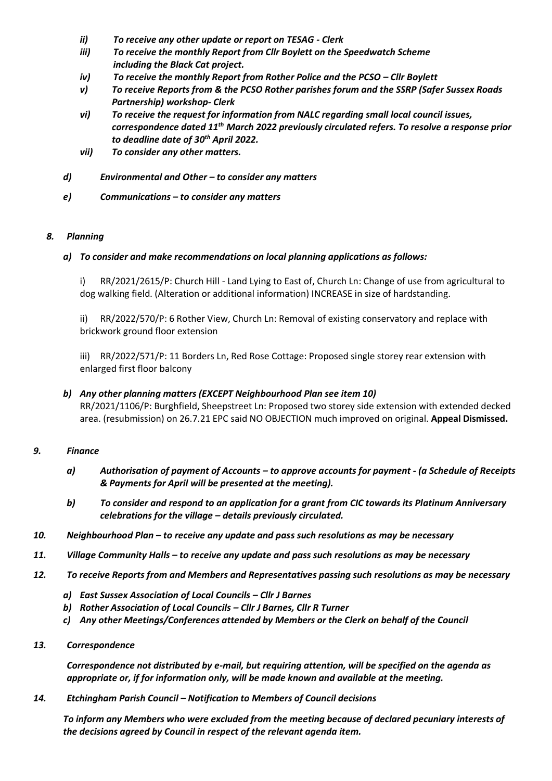- *ii) To receive any other update or report on TESAG - Clerk*
- *iii) To receive the monthly Report from Cllr Boylett on the Speedwatch Scheme including the Black Cat project.*
- *iv*) *To receive the monthly Report from Rother Police and the PCSO Cllr Boylett*
- *v) To receive Reports from & the PCSO Rother parishes forum and the SSRP (Safer Sussex Roads Partnership) workshop- Clerk*
- *vi) To receive the request for information from NALC regarding small local council issues, correspondence dated 11th March 2022 previously circulated refers. To resolve a response prior to deadline date of 30th April 2022.*
- *vii) To consider any other matters.*
- *d) Environmental and Other – to consider any matters*
- *e) Communications – to consider any matters*

#### *8. Planning*

#### *a) To consider and make recommendations on local planning applications as follows:*

i) RR/2021/2615/P: Church Hill - Land Lying to East of, Church Ln: Change of use from agricultural to dog walking field. (Alteration or additional information) INCREASE in size of hardstanding.

ii) RR/2022/570/P: 6 Rother View, Church Ln: Removal of existing conservatory and replace with brickwork ground floor extension

iii) RR/2022/571/P: 11 Borders Ln, Red Rose Cottage: Proposed single storey rear extension with enlarged first floor balcony

### *b) Any other planning matters (EXCEPT Neighbourhood Plan see item 10)* RR/2021/1106/P: Burghfield, Sheepstreet Ln: Proposed two storey side extension with extended decked area. (resubmission) on 26.7.21 EPC said NO OBJECTION much improved on original. **Appeal Dismissed.**

#### *9. Finance*

- *a) Authorisation of payment of Accounts – to approve accounts for payment - (a Schedule of Receipts & Payments for April will be presented at the meeting).*
- *b) To consider and respond to an application for a grant from CIC towards its Platinum Anniversary celebrations for the village – details previously circulated.*
- *10. Neighbourhood Plan – to receive any update and pass such resolutions as may be necessary*
- *11. Village Community Halls – to receive any update and pass such resolutions as may be necessary*
- *12. To receive Reports from and Members and Representatives passing such resolutions as may be necessary*
	- *a) East Sussex Association of Local Councils – Cllr J Barnes*
	- *b) Rother Association of Local Councils – Cllr J Barnes, Cllr R Turner*
	- *c) Any other Meetings/Conferences attended by Members or the Clerk on behalf of the Council*
- *13. Correspondence*

*Correspondence not distributed by e-mail, but requiring attention, will be specified on the agenda as appropriate or, if for information only, will be made known and available at the meeting.* 

*14. Etchingham Parish Council – Notification to Members of Council decisions* 

*To inform any Members who were excluded from the meeting because of declared pecuniary interests of the decisions agreed by Council in respect of the relevant agenda item.*